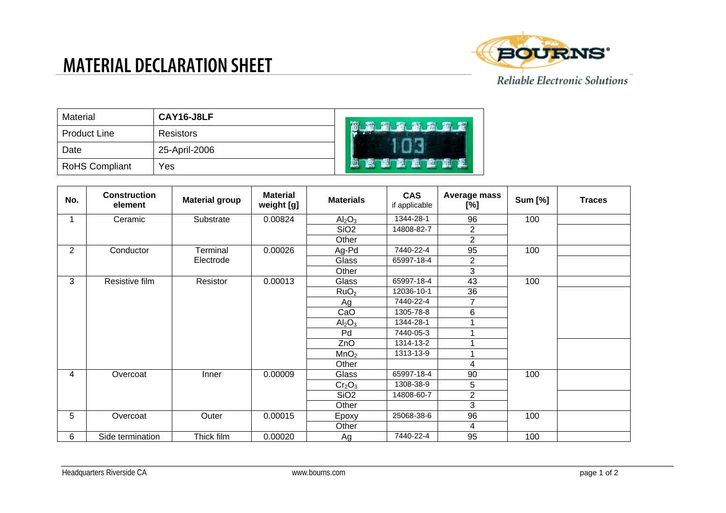## **MATERIAL DECLARATION SHEET**



| Material              | CAY16-J8LF    | <b>TERR</b> |
|-----------------------|---------------|-------------|
| <b>Product Line</b>   | Resistors     |             |
| Date                  | 25-April-2006 |             |
| <b>RoHS Compliant</b> | Yes           |             |

| No.            | <b>Construction</b><br>element | <b>Material group</b> | <b>Material</b><br>weight [g] | <b>Materials</b>               | <b>CAS</b><br>if applicable | <b>Average mass</b><br>[%] | <b>Sum [%]</b> | <b>Traces</b> |
|----------------|--------------------------------|-----------------------|-------------------------------|--------------------------------|-----------------------------|----------------------------|----------------|---------------|
|                | Ceramic                        | Substrate             | 0.00824                       | Al <sub>2</sub> O <sub>3</sub> | 1344-28-1                   | 96                         | 100            |               |
|                |                                |                       |                               | SiO <sub>2</sub>               | 14808-82-7                  | $\overline{2}$             |                |               |
|                |                                |                       |                               | Other                          |                             | $\overline{2}$             |                |               |
| $\overline{2}$ | Conductor                      | Terminal              | 0.00026                       | Ag-Pd                          | 7440-22-4                   | 95                         | 100            |               |
|                |                                | Electrode             |                               | Glass                          | 65997-18-4                  | $\overline{2}$             |                |               |
|                |                                |                       |                               | Other                          |                             | 3                          |                |               |
| 3              | Resistive film                 | Resistor              | 0.00013                       | Glass                          | 65997-18-4                  | 43                         | 100            |               |
|                |                                |                       |                               | RuO <sub>2</sub>               | 12036-10-1                  | 36                         |                |               |
|                |                                |                       |                               | Ag                             | 7440-22-4                   | $\overline{7}$             |                |               |
|                |                                |                       |                               | CaO                            | 1305-78-8                   | 6                          |                |               |
|                |                                |                       |                               | Al <sub>2</sub> O <sub>3</sub> | 1344-28-1                   |                            |                |               |
|                |                                |                       |                               | Pd                             | 7440-05-3                   |                            |                |               |
|                |                                |                       |                               | ZnO                            | 1314-13-2                   |                            |                |               |
|                |                                |                       |                               | MnO <sub>2</sub>               | 1313-13-9                   |                            |                |               |
|                |                                |                       |                               | Other                          |                             | 4                          |                |               |
| 4              | Overcoat                       | Inner                 | 0.00009                       | Glass                          | 65997-18-4                  | 90                         | 100            |               |
|                |                                |                       |                               | Cr <sub>2</sub> O <sub>3</sub> | 1308-38-9                   | 5                          |                |               |
|                |                                |                       |                               | SiO <sub>2</sub>               | 14808-60-7                  | $\overline{2}$             |                |               |
|                |                                |                       |                               | Other                          |                             | 3                          |                |               |
| 5              | Overcoat                       | Outer                 | 0.00015                       | Epoxy                          | 25068-38-6                  | 96                         | 100            |               |
|                |                                |                       |                               | Other                          |                             | 4                          |                |               |
| 6              | Side termination               | Thick film            | 0.00020                       | Ag                             | 7440-22-4                   | 95                         | 100            |               |